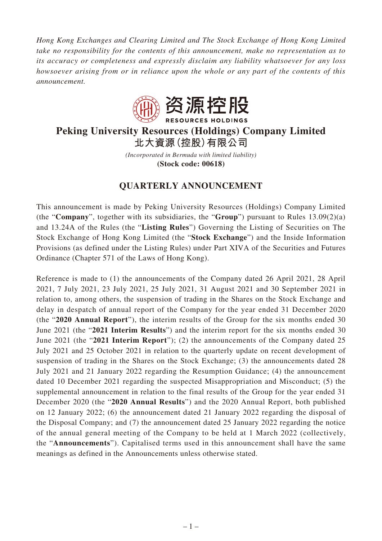*Hong Kong Exchanges and Clearing Limited and The Stock Exchange of Hong Kong Limited take no responsibility for the contents of this announcement, make no representation as to its accuracy or completeness and expressly disclaim any liability whatsoever for any loss howsoever arising from or in reliance upon the whole or any part of the contents of this announcement.*



# **Peking University Resources (Holdings) Company Limited 北大資源(控股)有限公司**

*(Incorporated in Bermuda with limited liability)* **(Stock code: 00618)**

# **QUARTERLY ANNOUNCEMENT**

This announcement is made by Peking University Resources (Holdings) Company Limited (the "**Company**", together with its subsidiaries, the "**Group**") pursuant to Rules 13.09(2)(a) and 13.24A of the Rules (the "**Listing Rules**") Governing the Listing of Securities on The Stock Exchange of Hong Kong Limited (the "**Stock Exchange**") and the Inside Information Provisions (as defined under the Listing Rules) under Part XIVA of the Securities and Futures Ordinance (Chapter 571 of the Laws of Hong Kong).

Reference is made to (1) the announcements of the Company dated 26 April 2021, 28 April 2021, 7 July 2021, 23 July 2021, 25 July 2021, 31 August 2021 and 30 September 2021 in relation to, among others, the suspension of trading in the Shares on the Stock Exchange and delay in despatch of annual report of the Company for the year ended 31 December 2020 (the "**2020 Annual Report**"), the interim results of the Group for the six months ended 30 June 2021 (the "**2021 Interim Results**") and the interim report for the six months ended 30 June 2021 (the "**2021 Interim Report**"); (2) the announcements of the Company dated 25 July 2021 and 25 October 2021 in relation to the quarterly update on recent development of suspension of trading in the Shares on the Stock Exchange; (3) the announcements dated 28 July 2021 and 21 January 2022 regarding the Resumption Guidance; (4) the announcement dated 10 December 2021 regarding the suspected Misappropriation and Misconduct; (5) the supplemental announcement in relation to the final results of the Group for the year ended 31 December 2020 (the "**2020 Annual Results**") and the 2020 Annual Report, both published on 12 January 2022; (6) the announcement dated 21 January 2022 regarding the disposal of the Disposal Company; and (7) the announcement dated 25 January 2022 regarding the notice of the annual general meeting of the Company to be held at 1 March 2022 (collectively, the "**Announcements**"). Capitalised terms used in this announcement shall have the same meanings as defined in the Announcements unless otherwise stated.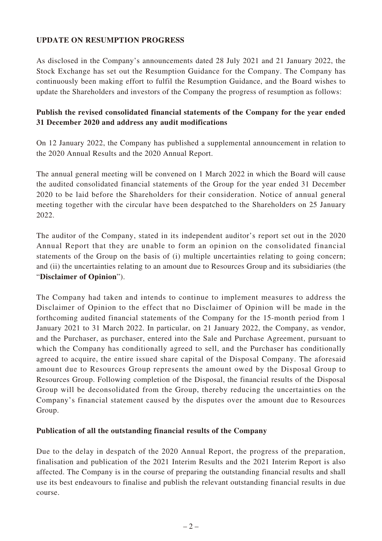# **UPDATE ON RESUMPTION PROGRESS**

As disclosed in the Company's announcements dated 28 July 2021 and 21 January 2022, the Stock Exchange has set out the Resumption Guidance for the Company. The Company has continuously been making effort to fulfil the Resumption Guidance, and the Board wishes to update the Shareholders and investors of the Company the progress of resumption as follows:

# **Publish the revised consolidated financial statements of the Company for the year ended 31 December 2020 and address any audit modifications**

On 12 January 2022, the Company has published a supplemental announcement in relation to the 2020 Annual Results and the 2020 Annual Report.

The annual general meeting will be convened on 1 March 2022 in which the Board will cause the audited consolidated financial statements of the Group for the year ended 31 December 2020 to be laid before the Shareholders for their consideration. Notice of annual general meeting together with the circular have been despatched to the Shareholders on 25 January 2022.

The auditor of the Company, stated in its independent auditor's report set out in the 2020 Annual Report that they are unable to form an opinion on the consolidated financial statements of the Group on the basis of (i) multiple uncertainties relating to going concern; and (ii) the uncertainties relating to an amount due to Resources Group and its subsidiaries (the "**Disclaimer of Opinion**").

The Company had taken and intends to continue to implement measures to address the Disclaimer of Opinion to the effect that no Disclaimer of Opinion will be made in the forthcoming audited financial statements of the Company for the 15-month period from 1 January 2021 to 31 March 2022. In particular, on 21 January 2022, the Company, as vendor, and the Purchaser, as purchaser, entered into the Sale and Purchase Agreement, pursuant to which the Company has conditionally agreed to sell, and the Purchaser has conditionally agreed to acquire, the entire issued share capital of the Disposal Company. The aforesaid amount due to Resources Group represents the amount owed by the Disposal Group to Resources Group. Following completion of the Disposal, the financial results of the Disposal Group will be deconsolidated from the Group, thereby reducing the uncertainties on the Company's financial statement caused by the disputes over the amount due to Resources Group.

### **Publication of all the outstanding financial results of the Company**

Due to the delay in despatch of the 2020 Annual Report, the progress of the preparation, finalisation and publication of the 2021 Interim Results and the 2021 Interim Report is also affected. The Company is in the course of preparing the outstanding financial results and shall use its best endeavours to finalise and publish the relevant outstanding financial results in due course.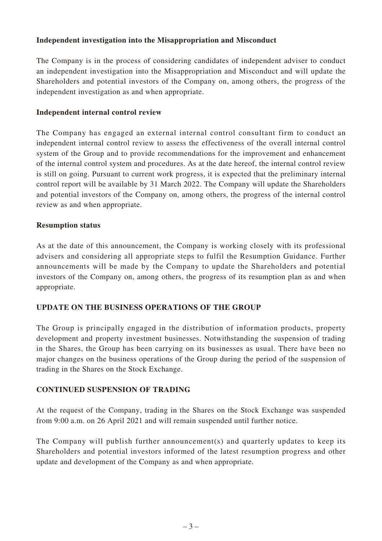# **Independent investigation into the Misappropriation and Misconduct**

The Company is in the process of considering candidates of independent adviser to conduct an independent investigation into the Misappropriation and Misconduct and will update the Shareholders and potential investors of the Company on, among others, the progress of the independent investigation as and when appropriate.

## **Independent internal control review**

The Company has engaged an external internal control consultant firm to conduct an independent internal control review to assess the effectiveness of the overall internal control system of the Group and to provide recommendations for the improvement and enhancement of the internal control system and procedures. As at the date hereof, the internal control review is still on going. Pursuant to current work progress, it is expected that the preliminary internal control report will be available by 31 March 2022. The Company will update the Shareholders and potential investors of the Company on, among others, the progress of the internal control review as and when appropriate.

### **Resumption status**

As at the date of this announcement, the Company is working closely with its professional advisers and considering all appropriate steps to fulfil the Resumption Guidance. Further announcements will be made by the Company to update the Shareholders and potential investors of the Company on, among others, the progress of its resumption plan as and when appropriate.

### **UPDATE ON THE BUSINESS OPERATIONS OF THE GROUP**

The Group is principally engaged in the distribution of information products, property development and property investment businesses. Notwithstanding the suspension of trading in the Shares, the Group has been carrying on its businesses as usual. There have been no major changes on the business operations of the Group during the period of the suspension of trading in the Shares on the Stock Exchange.

### **CONTINUED SUSPENSION OF TRADING**

At the request of the Company, trading in the Shares on the Stock Exchange was suspended from 9:00 a.m. on 26 April 2021 and will remain suspended until further notice.

The Company will publish further announcement(s) and quarterly updates to keep its Shareholders and potential investors informed of the latest resumption progress and other update and development of the Company as and when appropriate.